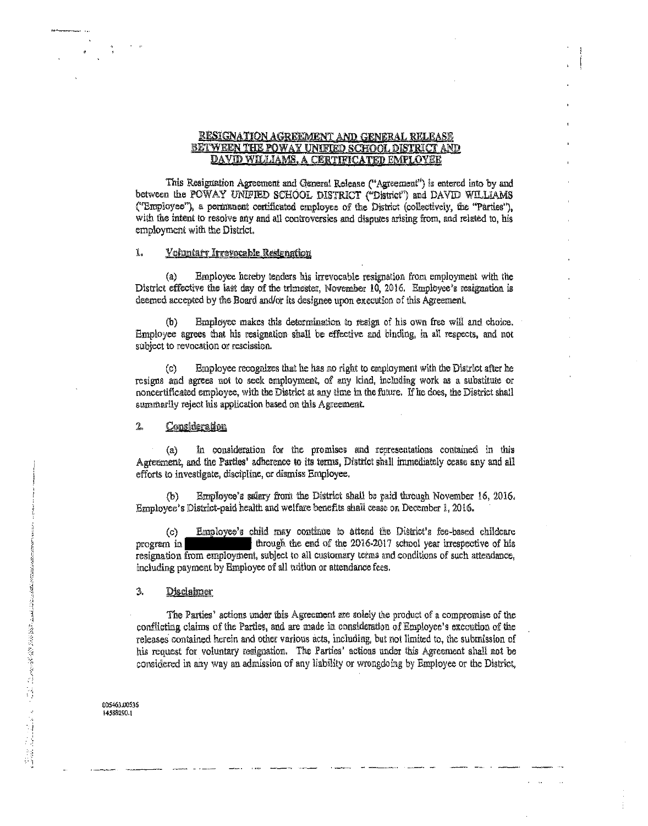## RESIGNATION AGREEMENT AND GENERAL RELEASE BETWEEN THE POWAY UNIFIED SCHOOL DISTRICT AND DAVID WILLIAMS, A CERTIFICATED EMPLOYEE

This Resignation Agreement and General Release ("Agreement") is entered into by and between the POWAY UNIFIED SCHOOL DISTRICT ("District") and DAVID WILLIAMS ("Employee"), a permanent certificated employee of the District (collectively, the "Parties"), with the intent to resolve any and all controversies and disputes arising from, and related to, his employment with the District.

#### 1. Voluntary Irrevocable Resignation

Employee hereby tenders his irrevocable resignation from employment with the  $(a)$ District effective the last day of the trimester, November 10, 2016. Employee's resignation is deemed accepted by the Board and/or its designee upon execution of this Agreement.

Employee makes this determination to resign of his own free will and choice. (b) Employee agrees that his resignation shall be effective and binding, in all respects, and not subject to revocation or rescission.

Employee recognizes that he has no right to employment with the District after he (C) resigns and agrees not to seek employment, of any kind, including work as a substitute or noncertificated employee, with the District at any time in the future. If he does, the District shall summarily reject his application based on this Agreement.

#### $2<sub>o</sub>$ Consideration

In consideration for the promises and representations contained in this  $(a)$ Agreement, and the Parties' adherence to its terms, District shall immediately cease any and all efforts to investigate, discipline, or dismiss Employee.

Employee's salary from the District shall be paid through November 16, 2016.  $(b)$ Employee's District-paid health and welfare benefits shall cease on December 1, 2016.

Employee's child may continue to attend the District's fee-based childcare  $(c)$ program in through the end of the 2016-2017 school year irrespective of his resignation from employment, subject to all customary terms and conditions of such attendance, including payment by Employee of all tuition or attendance fees.

#### $3.$ **Disclaimer**

The Parties' actions under this Agreement are solely the product of a compromise of the conflicting claims of the Parties, and are made in consideration of Employee's execution of the releases contained herein and other various acts, including, but not limited to, the submission of his request for voluntary resignation. The Parties' actions under this Agreement shall not be considered in any way an admission of any liability or wrongdoing by Employee or the District,

005463.00536 14588290.1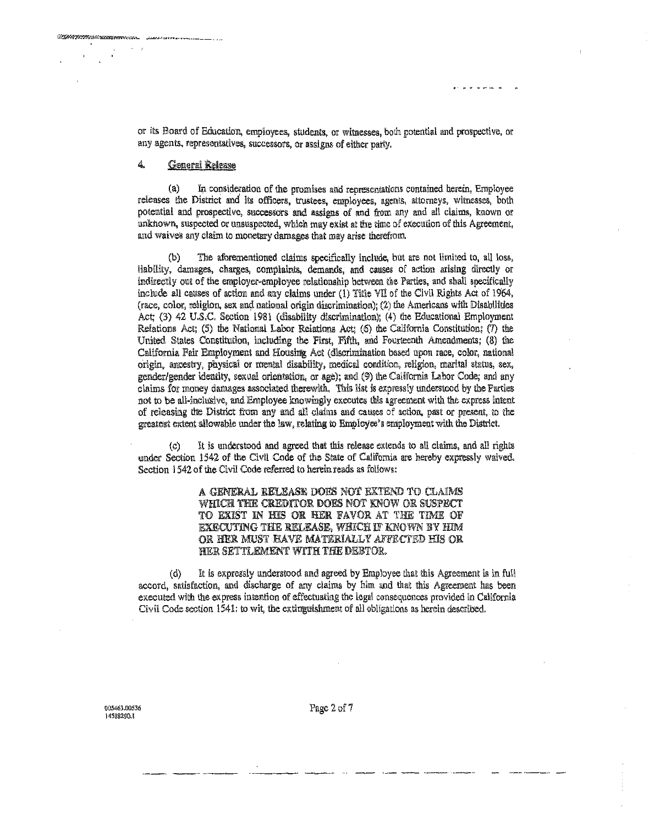or its Board of Education, employees, students, or witnesses, both potential and prospective, or any agents, representatives, successors, or assigns of either party.

### $\overline{4}$ **General Release**

Commentations and comments

 $(a)$ In consideration of the promises and representations contained herein, Employee releases the District and its officers, trustees, employees, agents, attorneys, witnesses, both potential and prospective, successors and assigns of and from any and all claims, known or unknown, suspected or unsuspected, which may exist at the time of execution of this Agreement, and waives any claim to monetary damages that may arise therefrom.

The aforementioned claims specifically include, but are not limited to, all loss, (ቴ) liability, damages, charges, complaints, demands, and causes of action arising directly or indirectly out of the employer-employee relationship between the Parties, and shall specifically include all causes of action and any claims under (1) Title VII of the Civil Rights Act of 1964, (race, color, religion, sex and national origin discrimination); (2) the Americans with Disabilities Act; (3) 42 U.S.C. Section 1981 (disability discrimination); (4) the Educational Employment Relations Act; (5) the National Labor Relations Act; (6) the California Constitution; (7) the United States Constitution, including the First, Fifth, and Fourteenth Amendments; (8) the California Fair Employment and Housing Act (discrimination based upon race, color, national origin, ancestry, physical or mental disability, medical condition, religion, marital status, sex, gender/gender identity, sexual orientation, or age); and (9) the California Labor Code; and any claims for money damages associated therewith. This list is expressly understood by the Parties not to be all-inclusive, and Employee knowingly executes this agreement with the express intent of releasing the District from any and all claims and causes of action, past or present, to the greatest extent allowable under the law, relating to Employee's employment with the District.

It is understood and agreed that this release extends to all claims, and all rights  $\left(\circ\right)$ under Section 1542 of the Civil Code of the State of California are hereby expressly waived. Section 1542 of the Civil Code referred to herein reads as follows:

> A GENERAL RELEASE DOES NOT EXTEND TO CLAIMS WHICH THE CREDITOR DOES NOT KNOW OR SUSPECT TO EXIST IN HIS OR HER FAVOR AT THE TIME OF EXECUTING THE RELEASE, WHICH IF KNOWN BY HIM OR HER MUST HAVE MATERIALLY AFFECTED HIS OR HER SETTLEMENT WITH THE DEBTOR.

It is expressly understood and agreed by Employee that this Agreement is in full  $(d)$ accord, satisfaction, and discharge of any claims by him and that this Agreement has been executed with the express intention of effectuating the legal consequences provided in California Civil Code section 1541; to wit, the extinguishment of all obligations as herein described.

005463.00536 14588240.1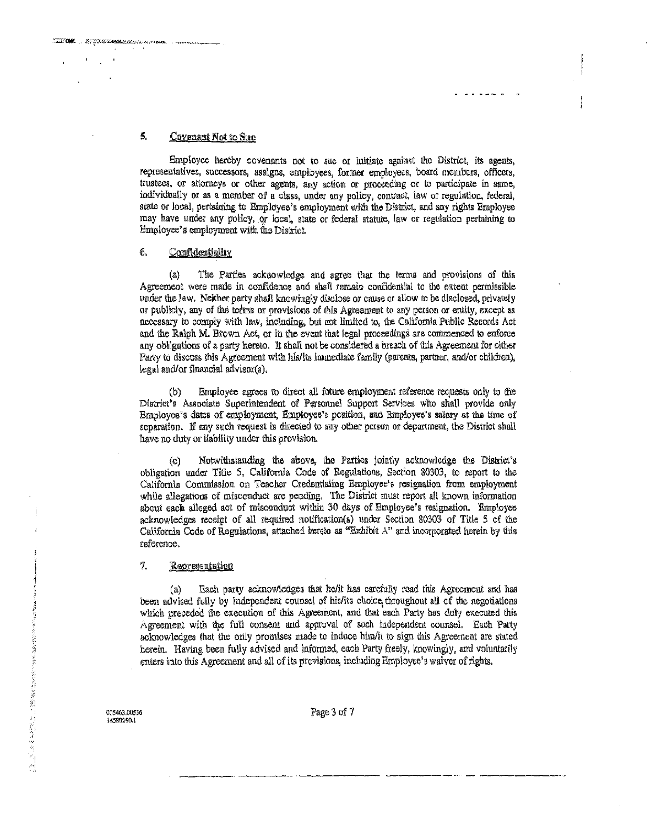# 5. Covenant Not to Sue

Employee hereby covenants not to sue or initiate against the District, its agents, representatives, successors, assigns, employees, former employees, board members, officers, trustees, or attorneys or other agents, any action or proceeding or to participate in same, individually or as a member of a class, under any policy, contract, law or regulation, federal, state or local, pertaining to Employee's employment with the District, and any rights Employee may have under any policy, or local, state or federal statute, law or regulation pertaining to Employee's employment with the District.

## 6. Confidentiality

(a) The Parties acknowledge and agree that the terms and provisions of this Agreement were made in confidence and shall remain confidential to the extent permissible under the law. Neither party shall knowingly disclose or cause or allow to be disclosed, privately or publicly, any of the terms or provisions of this Agreement to any person or entity, except as necessary to comply with law, including, but not limited to, the California Public Records Act and the Ralph M. Brown Act, or in the event that legal proceedings are commenced to enforce any obligations of a party hereto. It shall not be considered a breach of this Agreement for either Party to discuss this Agreement with his/its immediate family (parents, partner, and/or children), legal and/or financial advisor(s).

(b) Employee agrees to direct all fulw:e employment reference requetts only to tire District's Associate Superintendent of Personnel Support Services who shall provide only Employee's dates of employment, Employee's position, and Employee's salary at the time of separation. If any such request is directed to any other person or department, the District shall have no duty or liability under this provision.

(c) Notwithstanding the above, the Patties jointly acknowledge !he District's obligation under Title 5, California Code of Regulations, Section 80303, to report to the California Commission on Teacher Credentialing Employee's resignation from employment while allegations of misconduct are pending. The District must report all known information about each alleged act of misconduct within 30 days of Employee's resignation. Employee acknowledges receipt of all required notification(s) under Section 80303 of Title 5 of the California Code of Regulations, attached hereto as "Exhibit  $A$ " and incorporated herein by this reference.

### 7. Representation

(a) Each party acknowledges that he/it has carefully read this Agreement and has been advised fully by independent counsel of his/its choice, throughout all of the negotiations which preceded the execution of this Agreement, and that each Party has duly executed this Agreement with the full consent and approval of such independent counsel. Each Party acknowledges that the only promises made to induce him/it to sign this Agreement are stated herein. Having been fully advised and informed, each Party freely, knowingly, and voluntarily enters into this Agreement and all of its provisions, including Employee's waiver of rights.

**005%3.00536 145118200.!** 

Page 3 of 7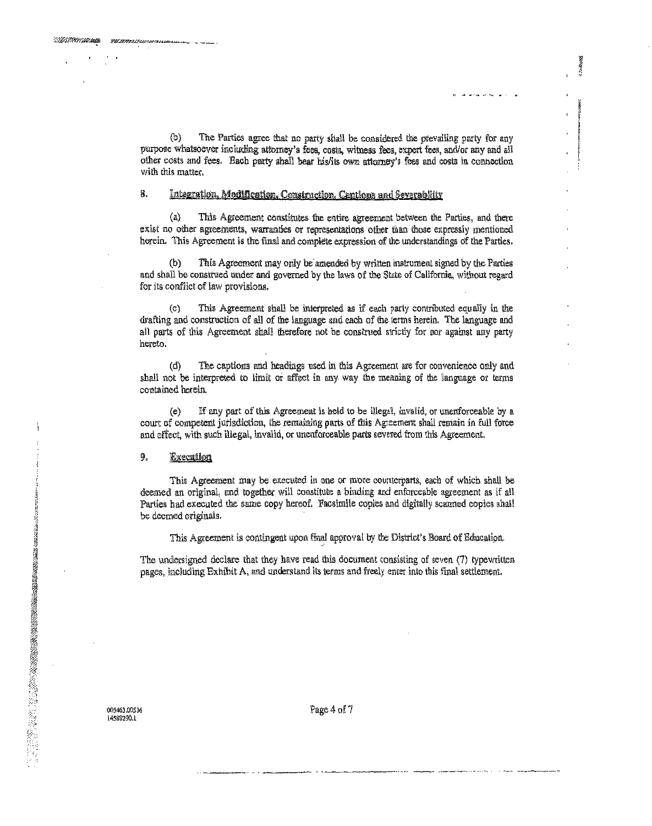$(h)$ The Parties agree that no party shall be considered the prevailing party for any purpose whatsoever including attorney's fees, costs, witness fees, expert fees, and/or any and all other costs and fees. Each party shall bear his/its own attorney's fees and costs in connection with this matter.

#### 8. Integration, Modification, Construction, Captions and Severability

 $(a)$ This Agreement constitutes the entire agreement between the Parties, and there exist no other agreements, warranties or representations other than those expressly mentioned herein. This Agreement is the final and complete expression of the understandings of the Parties.

 $(b)$ This Agreement may only be amended by written instrument signed by the Parties and shall be construed under and governed by the laws of the State of California, without regard for its conflict of law provisions.

This Agreement shall be interpreted as if each party contributed equally in the drafting and construction of all of the language and each of the terms herein. The language and all parts of this Agreement shall therefore not be construed strictly for nor against any party hereto.

 $(d)$ The captions and headings used in this Agreement are for convenience only and shall not be interpreted to limit or affect in any way the meaning of the language or terms contained herein.

 $(e)$ If any part of this Agreement is held to be illegal, invalid, or unenforceable by a court of competent jurisdiction, the remaining parts of this Agreement shall remain in full force and effect, with such illegal, invalid, or unenforceable parts severed from this Agreement.

#### 9. Execution

This Agreement may be executed in one or more counterparts, each of which shall be deemed an original, and together will constitute a binding and enforceable agreement as if all Parties had executed the same copy hereof. Facsimile copies and digitally scanned copies shall be deemed originals.

This Agreement is contingent upon final approval by the District's Board of Education.

The undersigned declare that they have read this document consisting of seven (7) typewritten pages, including Exhibit A, and understand its terms and freely enter into this final settlement.

005463.00536 i4588290.1

Page 4 of 7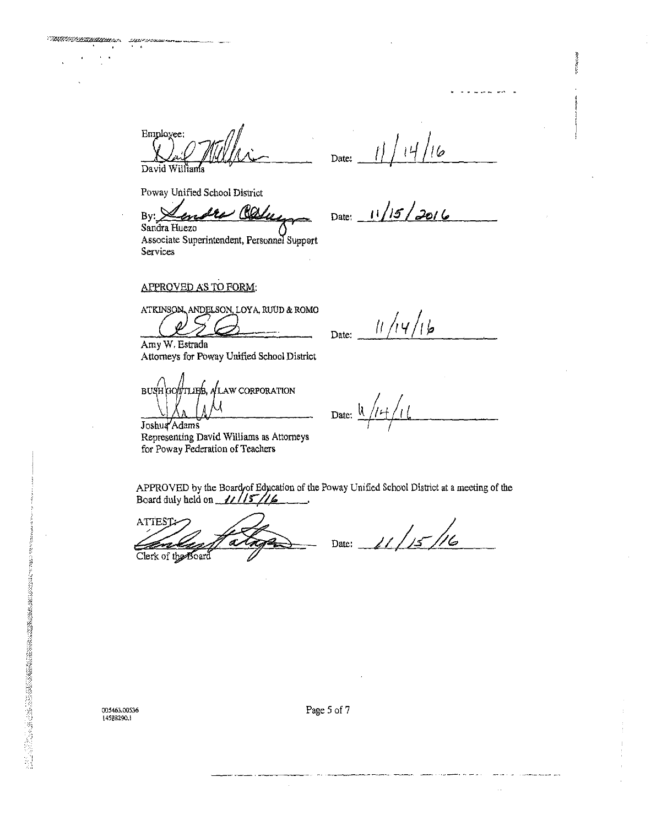Employee: David Williams

 $16$ Date:

 $11/15/2016$ 

Date:

Poway Unified School District

TMA MALINERAN

 $\mathcal{M}_{\mathcal{S}}$  and  $\mathcal{S}_{\mathcal{B}}$ 

782 Bv:

Sandra Huezo Associate Superintendent, Personnel Support Services

APPROVED AS TO FORM:

ATKINSON, ANDELSON, LOYA, RUUD & ROMO

Amy W. Estrada Attorneys for Poway Unified School District

BUSH GOTTLIBB, ALAW CORPORATION

Joshua Adams Representing David Williams as Attorneys for Poway Federation of Teachers

 $11/14/16$ Date:

Date:

APPROVED by the Board of Education of the Poway Unified School District at a meeting of the Board duly held on  $11/15/16$ 

ATTEST ve

Clerk of the Board

 $\frac{1}{2}$  / / /  $\frac{1}{2}$  / Date:

005463.00536 145BB290.1

2020年6月20日に4月20日の日本国際の国際の国際の国際の国際の国際の国際の国際の国際の国際の国際の国際によっていた。 アプリー

Page 5 of 7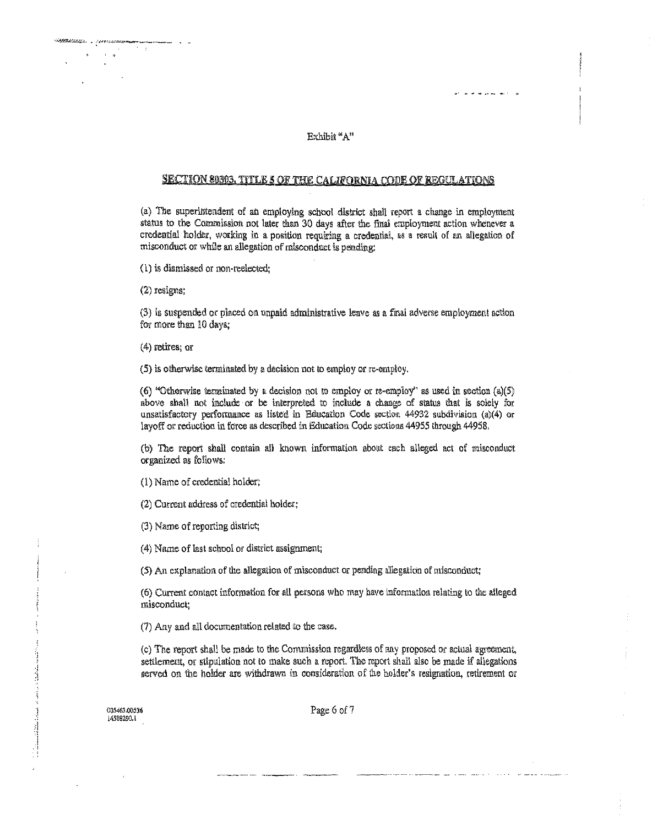### Exhibil "A"

an a shekara a she

Ť

### **SECTION 80303, TITLE 5 OF THE CALIFORNIA CODE OF REGULATIONS**

(a) The superintendent of an employing school district shall report a change in employment status to the Commission not later than 30 days after the final employment action whenever a credential holder, working in a position requiring a credential, as a result of an allegation of misconduct or while an allegation of misconduct is pending:

(l) is dismissed or non-reelected;

 $(2)$  resigns;

 $\lambda = 0$ 

(3) is suspended or placed on unpaid administrntive leave as a final adverse employment action for more than 10 days;

( 4) retires; or

 $(5)$  is otherwise terminated by a decision not to employ or re-employ.

(6) "Otherwise terminated by a decision not to employ or re-employ" as used in section (a)(5) above shall not include or be interpreted to include a change of status that is solely for unsatisfactory performance as listed in Education Code section 44932 subdivision (a)(4) or layoff or reduction in force as described in Education Code sections 44955 through 44958,

(b) The report shall contam all known information about each alleged act of nnisconduct organized as follows:

(1) Name of credential holder;

(2) Current address of credential holder;

(3) Name of reporting district;

(4) Name of last school or district assignment;

(5) An explanation of the allegation of misconduct or pending allegation of misconduct;

(6) Current contact information for all persons who may have information relating to the alleged misconduci;

 $(7)$  Any and all documentation related to the case.

(c) The report shall be made to the Commission regardless of any proposed or actual agreement, settlement, or stipulation not to make such a report. The report shall also be made if allegations served on the holder are withdrawn in consideration of the holder's resignation, retirement or

**005Mi3,00S36** 

سار والاشتراطة ستوقيكها والرزاقص تبدا المستكنة والمتكل كالأنث

Page 6 of 7